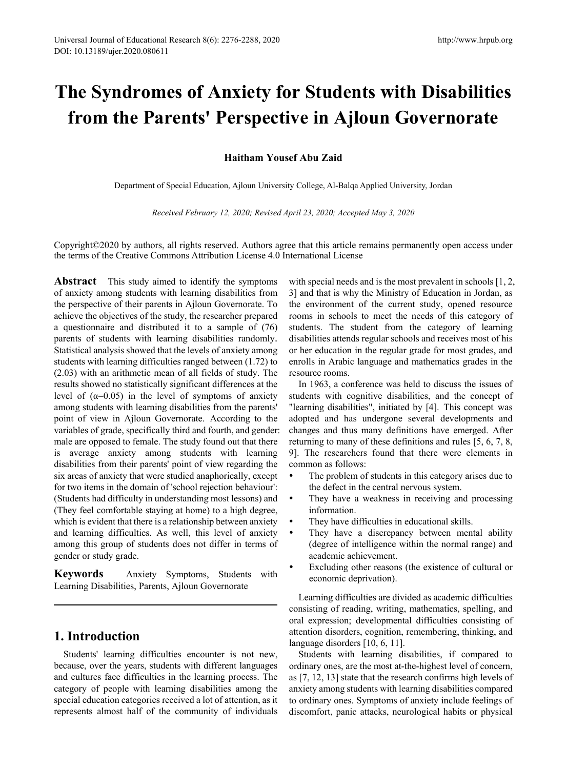# **The Syndromes of Anxiety for Students with Disabilities from the Parents' Perspective in Ajloun Governorate**

**Haitham Yousef Abu Zaid**

Department of Special Education, Ajloun University College, Al-Balqa Applied University, Jordan

*Received February 12, 2020; Revised April 23, 2020; Accepted May 3, 2020*

Copyright©2020 by authors, all rights reserved. Authors agree that this article remains permanently open access under the terms of the Creative Commons Attribution License 4.0 International License

**Abstract** This study aimed to identify the symptoms of anxiety among students with learning disabilities from the perspective of their parents in Ajloun Governorate. To achieve the objectives of the study, the researcher prepared a questionnaire and distributed it to a sample of (76) parents of students with learning disabilities randomly. Statistical analysis showed that the levels of anxiety among students with learning difficulties ranged between (1.72) to (2.03) with an arithmetic mean of all fields of study. The results showed no statistically significant differences at the level of  $(\alpha=0.05)$  in the level of symptoms of anxiety among students with learning disabilities from the parents' point of view in Ajloun Governorate. According to the variables of grade, specifically third and fourth, and gender: male are opposed to female. The study found out that there is average anxiety among students with learning disabilities from their parents' point of view regarding the six areas of anxiety that were studied anaphorically, except for two items in the domain of 'school rejection behaviour': (Students had difficulty in understanding most lessons) and (They feel comfortable staying at home) to a high degree, which is evident that there is a relationship between anxiety and learning difficulties. As well, this level of anxiety among this group of students does not differ in terms of gender or study grade.

**Keywords** Anxiety Symptoms, Students with Learning Disabilities, Parents, Ajloun Governorate

# **1. Introduction**

Students' learning difficulties encounter is not new, because, over the years, students with different languages and cultures face difficulties in the learning process. The category of people with learning disabilities among the special education categories received a lot of attention, as it represents almost half of the community of individuals

with special needs and is the most prevalent in schools [1, 2, 3] and that is why the Ministry of Education in Jordan, as the environment of the current study, opened resource rooms in schools to meet the needs of this category of students. The student from the category of learning disabilities attends regular schools and receives most of his or her education in the regular grade for most grades, and enrolls in Arabic language and mathematics grades in the resource rooms.

In 1963, a conference was held to discuss the issues of students with cognitive disabilities, and the concept of "learning disabilities", initiated by [4]. This concept was adopted and has undergone several developments and changes and thus many definitions have emerged. After returning to many of these definitions and rules [5, 6, 7, 8, 9]. The researchers found that there were elements in common as follows:

- The problem of students in this category arises due to the defect in the central nervous system.
- They have a weakness in receiving and processing information.
- They have difficulties in educational skills.
- They have a discrepancy between mental ability (degree of intelligence within the normal range) and academic achievement.
- Excluding other reasons (the existence of cultural or economic deprivation).

Learning difficulties are divided as academic difficulties consisting of reading, writing, mathematics, spelling, and oral expression; developmental difficulties consisting of attention disorders, cognition, remembering, thinking, and language disorders [10, 6, 11].

Students with learning disabilities, if compared to ordinary ones, are the most at-the-highest level of concern, as [7, 12, 13] state that the research confirms high levels of anxiety among students with learning disabilities compared to ordinary ones. Symptoms of anxiety include feelings of discomfort, panic attacks, neurological habits or physical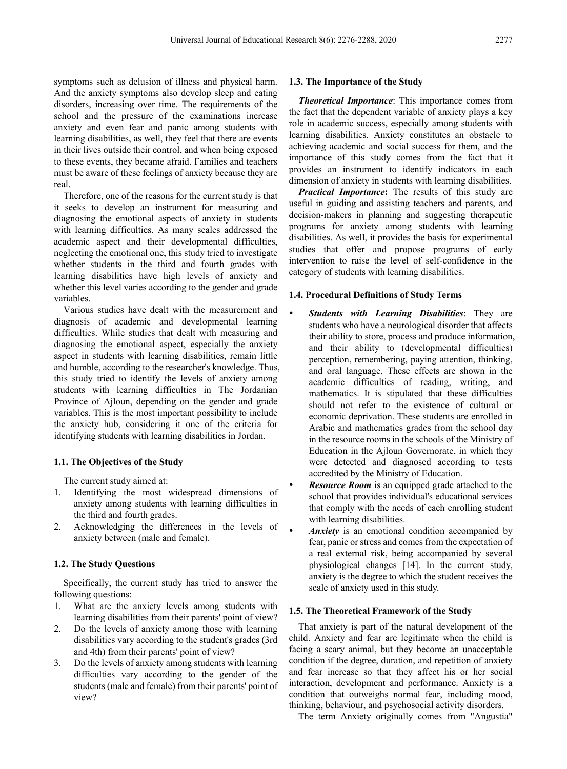symptoms such as delusion of illness and physical harm. And the anxiety symptoms also develop sleep and eating disorders, increasing over time. The requirements of the school and the pressure of the examinations increase anxiety and even fear and panic among students with learning disabilities, as well, they feel that there are events in their lives outside their control, and when being exposed to these events, they became afraid. Families and teachers must be aware of these feelings of anxiety because they are real.

Therefore, one of the reasons for the current study is that it seeks to develop an instrument for measuring and diagnosing the emotional aspects of anxiety in students with learning difficulties. As many scales addressed the academic aspect and their developmental difficulties, neglecting the emotional one, this study tried to investigate whether students in the third and fourth grades with learning disabilities have high levels of anxiety and whether this level varies according to the gender and grade variables.

Various studies have dealt with the measurement and diagnosis of academic and developmental learning difficulties. While studies that dealt with measuring and diagnosing the emotional aspect, especially the anxiety aspect in students with learning disabilities, remain little and humble, according to the researcher's knowledge. Thus, this study tried to identify the levels of anxiety among students with learning difficulties in The Jordanian Province of Ajloun, depending on the gender and grade variables. This is the most important possibility to include the anxiety hub, considering it one of the criteria for identifying students with learning disabilities in Jordan.

#### **1.1. The Objectives of the Study**

The current study aimed at:

- 1. Identifying the most widespread dimensions of anxiety among students with learning difficulties in the third and fourth grades.
- 2. Acknowledging the differences in the levels of anxiety between (male and female).

### **1.2. The Study Questions**

Specifically, the current study has tried to answer the following questions:

- 1. What are the anxiety levels among students with learning disabilities from their parents' point of view?
- 2. Do the levels of anxiety among those with learning disabilities vary according to the student's grades (3rd and 4th) from their parents' point of view?
- 3. Do the levels of anxiety among students with learning difficulties vary according to the gender of the students (male and female) from their parents' point of view?

#### **1.3. The Importance of the Study**

*Theoretical Importance*: This importance comes from the fact that the dependent variable of anxiety plays a key role in academic success, especially among students with learning disabilities. Anxiety constitutes an obstacle to achieving academic and social success for them, and the importance of this study comes from the fact that it provides an instrument to identify indicators in each dimension of anxiety in students with learning disabilities.

*Practical Importance***:** The results of this study are useful in guiding and assisting teachers and parents, and decision-makers in planning and suggesting therapeutic programs for anxiety among students with learning disabilities. As well, it provides the basis for experimental studies that offer and propose programs of early intervention to raise the level of self-confidence in the category of students with learning disabilities.

## **1.4. Procedural Definitions of Study Terms**

- *Students with Learning Disabilities*: They are students who have a neurological disorder that affects their ability to store, process and produce information, and their ability to (developmental difficulties) perception, remembering, paying attention, thinking, and oral language. These effects are shown in the academic difficulties of reading, writing, and mathematics. It is stipulated that these difficulties should not refer to the existence of cultural or economic deprivation. These students are enrolled in Arabic and mathematics grades from the school day in the resource rooms in the schools of the Ministry of Education in the Ajloun Governorate, in which they were detected and diagnosed according to tests accredited by the Ministry of Education.
- *Resource Room* is an equipped grade attached to the school that provides individual's educational services that comply with the needs of each enrolling student with learning disabilities.
- *Anxiety* is an emotional condition accompanied by fear, panic or stress and comes from the expectation of a real external risk, being accompanied by several physiological changes [14]. In the current study, anxiety is the degree to which the student receives the scale of anxiety used in this study.

## **1.5. The Theoretical Framework of the Study**

That anxiety is part of the natural development of the child. Anxiety and fear are legitimate when the child is facing a scary animal, but they become an unacceptable condition if the degree, duration, and repetition of anxiety and fear increase so that they affect his or her social interaction, development and performance. Anxiety is a condition that outweighs normal fear, including mood, thinking, behaviour, and psychosocial activity disorders.

The term Anxiety originally comes from "Angustia"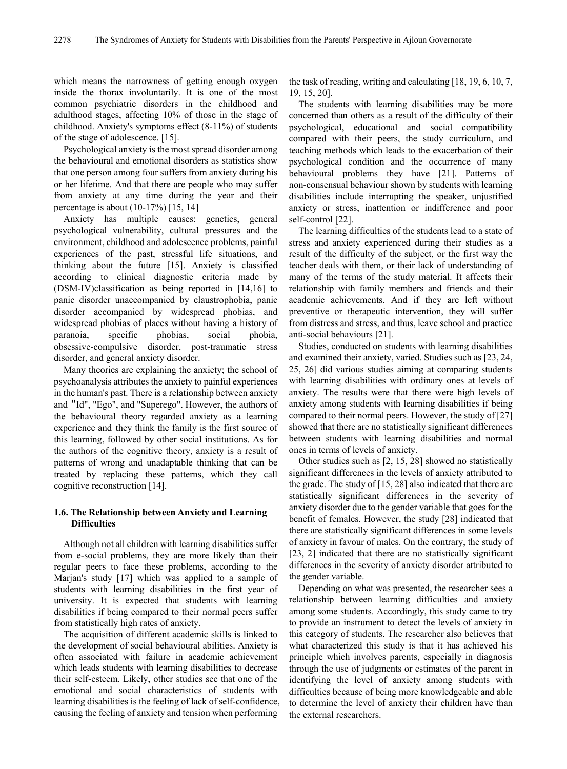which means the narrowness of getting enough oxygen inside the thorax involuntarily. It is one of the most common psychiatric disorders in the childhood and adulthood stages, affecting 10% of those in the stage of childhood. Anxiety's symptoms effect (8-11%) of students of the stage of adolescence. [15].

Psychological anxiety is the most spread disorder among the behavioural and emotional disorders as statistics show that one person among four suffers from anxiety during his or her lifetime. And that there are people who may suffer from anxiety at any time during the year and their percentage is about  $(10-17\%)$  [15, 14]

Anxiety has multiple causes: genetics, general psychological vulnerability, cultural pressures and the environment, childhood and adolescence problems, painful experiences of the past, stressful life situations, and thinking about the future [15]. Anxiety is classified according to clinical diagnostic criteria made by (DSM-IV)classification as being reported in [14,16] to panic disorder unaccompanied by claustrophobia, panic disorder accompanied by widespread phobias, and widespread phobias of places without having a history of paranoia, specific phobias, social phobia, obsessive-compulsive disorder, post-traumatic stress disorder, and general anxiety disorder.

Many theories are explaining the anxiety; the school of psychoanalysis attributes the anxiety to painful experiences in the human's past. There is a relationship between anxiety and "Id", "Ego", and "Superego". However, the authors of the behavioural theory regarded anxiety as a learning experience and they think the family is the first source of this learning, followed by other social institutions. As for the authors of the cognitive theory, anxiety is a result of patterns of wrong and unadaptable thinking that can be treated by replacing these patterns, which they call cognitive reconstruction [14].

## **1.6. The Relationship between Anxiety and Learning Difficulties**

Although not all children with learning disabilities suffer from e-social problems, they are more likely than their regular peers to face these problems, according to the Marjan's study [17] which was applied to a sample of students with learning disabilities in the first year of university. It is expected that students with learning disabilities if being compared to their normal peers suffer from statistically high rates of anxiety.

The acquisition of different academic skills is linked to the development of social behavioural abilities. Anxiety is often associated with failure in academic achievement which leads students with learning disabilities to decrease their self-esteem. Likely, other studies see that one of the emotional and social characteristics of students with learning disabilities is the feeling of lack of self-confidence, causing the feeling of anxiety and tension when performing

the task of reading, writing and calculating [18, 19, 6, 10, 7, 19, 15, 20].

The students with learning disabilities may be more concerned than others as a result of the difficulty of their psychological, educational and social compatibility compared with their peers, the study curriculum, and teaching methods which leads to the exacerbation of their psychological condition and the occurrence of many behavioural problems they have [21]. Patterns of non-consensual behaviour shown by students with learning disabilities include interrupting the speaker, unjustified anxiety or stress, inattention or indifference and poor self-control [22].

The learning difficulties of the students lead to a state of stress and anxiety experienced during their studies as a result of the difficulty of the subject, or the first way the teacher deals with them, or their lack of understanding of many of the terms of the study material. It affects their relationship with family members and friends and their academic achievements. And if they are left without preventive or therapeutic intervention, they will suffer from distress and stress, and thus, leave school and practice anti-social behaviours [21].

Studies, conducted on students with learning disabilities and examined their anxiety, varied. Studies such as [23, 24, 25, 26] did various studies aiming at comparing students with learning disabilities with ordinary ones at levels of anxiety. The results were that there were high levels of anxiety among students with learning disabilities if being compared to their normal peers. However, the study of [27] showed that there are no statistically significant differences between students with learning disabilities and normal ones in terms of levels of anxiety.

Other studies such as [2, 15, 28] showed no statistically significant differences in the levels of anxiety attributed to the grade. The study of [15, 28] also indicated that there are statistically significant differences in the severity of anxiety disorder due to the gender variable that goes for the benefit of females. However, the study [28] indicated that there are statistically significant differences in some levels of anxiety in favour of males. On the contrary, the study of [23, 2] indicated that there are no statistically significant differences in the severity of anxiety disorder attributed to the gender variable.

Depending on what was presented, the researcher sees a relationship between learning difficulties and anxiety among some students. Accordingly, this study came to try to provide an instrument to detect the levels of anxiety in this category of students. The researcher also believes that what characterized this study is that it has achieved his principle which involves parents, especially in diagnosis through the use of judgments or estimates of the parent in identifying the level of anxiety among students with difficulties because of being more knowledgeable and able to determine the level of anxiety their children have than the external researchers.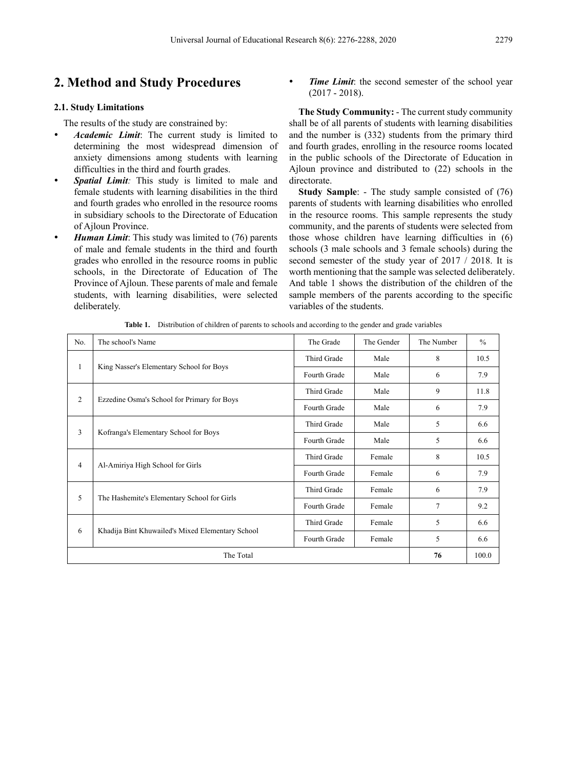# **2. Method and Study Procedures**

## **2.1. Study Limitations**

The results of the study are constrained by:

- *Academic Limit*: The current study is limited to determining the most widespread dimension of anxiety dimensions among students with learning difficulties in the third and fourth grades.
- *Spatial Limit:* This study is limited to male and female students with learning disabilities in the third and fourth grades who enrolled in the resource rooms in subsidiary schools to the Directorate of Education of Ajloun Province.
- *Human Limit*: This study was limited to (76) parents of male and female students in the third and fourth grades who enrolled in the resource rooms in public schools, in the Directorate of Education of The Province of Ajloun. These parents of male and female students, with learning disabilities, were selected deliberately.

*Time Limit*: the second semester of the school year (2017 - 2018).

**The Study Community:** - The current study community shall be of all parents of students with learning disabilities and the number is (332) students from the primary third and fourth grades, enrolling in the resource rooms located in the public schools of the Directorate of Education in Ajloun province and distributed to (22) schools in the directorate.

**Study Sample**: - The study sample consisted of (76) parents of students with learning disabilities who enrolled in the resource rooms. This sample represents the study community, and the parents of students were selected from those whose children have learning difficulties in (6) schools (3 male schools and 3 female schools) during the second semester of the study year of 2017 / 2018. It is worth mentioning that the sample was selected deliberately. And table 1 shows the distribution of the children of the sample members of the parents according to the specific variables of the students.

**Table 1.** Distribution of children of parents to schools and according to the gender and grade variables

| No.            | The school's Name                                | The Grade    | The Gender | The Number     | $\frac{0}{0}$ |
|----------------|--------------------------------------------------|--------------|------------|----------------|---------------|
|                |                                                  | Third Grade  | Male       | 8              | 10.5          |
| 1              | King Nasser's Elementary School for Boys         | Fourth Grade | Male       | 6              | 7.9           |
|                | Ezzedine Osma's School for Primary for Boys      | Third Grade  | Male       | 9              | 11.8          |
| $\overline{c}$ |                                                  | Fourth Grade | Male       | 6              | 7.9           |
| 3              | Kofranga's Elementary School for Boys            | Third Grade  | Male       | 5              | 6.6           |
|                |                                                  | Fourth Grade | Male       | 5              | 6.6           |
|                | Al-Amiriya High School for Girls                 | Third Grade  | Female     | 8              | 10.5          |
| 4              |                                                  | Fourth Grade | Female     | 6              | 7.9           |
| 5              | The Hashemite's Elementary School for Girls      | Third Grade  | Female     | 6              | 7.9           |
|                |                                                  | Fourth Grade | Female     | $\overline{7}$ | 9.2           |
|                |                                                  | Third Grade  | Female     | 5              | 6.6           |
| 6              | Khadija Bint Khuwailed's Mixed Elementary School | Fourth Grade | Female     | 5              | 6.6           |
|                | The Total                                        | 76           | 100.0      |                |               |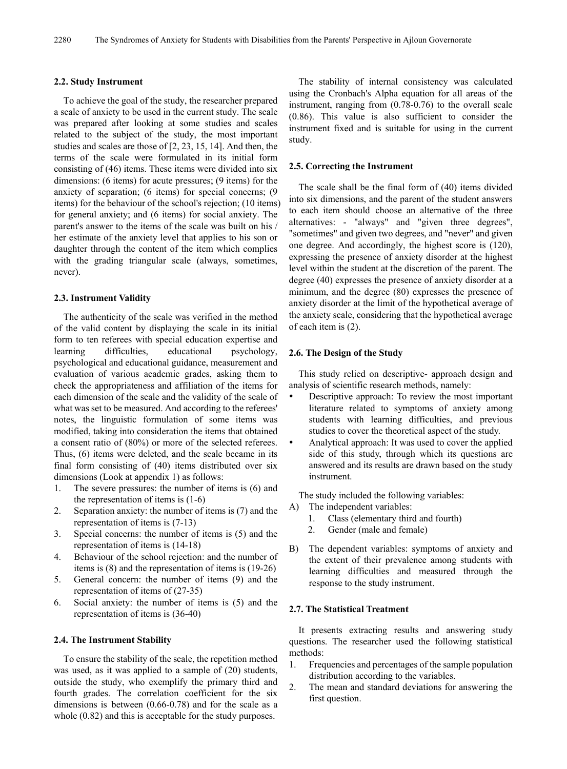#### **2.2. Study Instrument**

To achieve the goal of the study, the researcher prepared a scale of anxiety to be used in the current study. The scale was prepared after looking at some studies and scales related to the subject of the study, the most important studies and scales are those of [2, 23, 15, 14]. And then, the terms of the scale were formulated in its initial form consisting of (46) items. These items were divided into six dimensions: (6 items) for acute pressures; (9 items) for the anxiety of separation; (6 items) for special concerns; (9 items) for the behaviour of the school's rejection; (10 items) for general anxiety; and (6 items) for social anxiety. The parent's answer to the items of the scale was built on his / her estimate of the anxiety level that applies to his son or daughter through the content of the item which complies with the grading triangular scale (always, sometimes, never).

#### **2.3. Instrument Validity**

The authenticity of the scale was verified in the method of the valid content by displaying the scale in its initial form to ten referees with special education expertise and learning difficulties, educational psychology, psychological and educational guidance, measurement and evaluation of various academic grades, asking them to check the appropriateness and affiliation of the items for each dimension of the scale and the validity of the scale of what was set to be measured. And according to the referees' notes, the linguistic formulation of some items was modified, taking into consideration the items that obtained a consent ratio of (80%) or more of the selected referees. Thus, (6) items were deleted, and the scale became in its final form consisting of (40) items distributed over six dimensions (Look at appendix 1) as follows:

- 1. The severe pressures: the number of items is (6) and the representation of items is (1-6)
- 2. Separation anxiety: the number of items is (7) and the representation of items is (7-13)
- 3. Special concerns: the number of items is (5) and the representation of items is (14-18)
- 4. Behaviour of the school rejection: and the number of items is (8) and the representation of items is (19-26)
- 5. General concern: the number of items (9) and the representation of items of (27-35)
- 6. Social anxiety: the number of items is (5) and the representation of items is (36-40)

#### **2.4. The Instrument Stability**

To ensure the stability of the scale, the repetition method was used, as it was applied to a sample of (20) students, outside the study, who exemplify the primary third and fourth grades. The correlation coefficient for the six dimensions is between (0.66-0.78) and for the scale as a whole (0.82) and this is acceptable for the study purposes.

The stability of internal consistency was calculated using the Cronbach's Alpha equation for all areas of the instrument, ranging from (0.78-0.76) to the overall scale (0.86). This value is also sufficient to consider the instrument fixed and is suitable for using in the current study.

#### **2.5. Correcting the Instrument**

The scale shall be the final form of (40) items divided into six dimensions, and the parent of the student answers to each item should choose an alternative of the three alternatives: - "always" and "given three degrees", "sometimes" and given two degrees, and "never" and given one degree. And accordingly, the highest score is (120), expressing the presence of anxiety disorder at the highest level within the student at the discretion of the parent. The degree (40) expresses the presence of anxiety disorder at a minimum, and the degree (80) expresses the presence of anxiety disorder at the limit of the hypothetical average of the anxiety scale, considering that the hypothetical average of each item is (2).

#### **2.6. The Design of the Study**

This study relied on descriptive- approach design and analysis of scientific research methods, namely:

- Descriptive approach: To review the most important literature related to symptoms of anxiety among students with learning difficulties, and previous studies to cover the theoretical aspect of the study.
- Analytical approach: It was used to cover the applied side of this study, through which its questions are answered and its results are drawn based on the study instrument.

The study included the following variables:

- A) The independent variables:
	- 1. Class (elementary third and fourth)
	- 2. Gender (male and female)
- B) The dependent variables: symptoms of anxiety and the extent of their prevalence among students with learning difficulties and measured through the response to the study instrument.

#### **2.7. The Statistical Treatment**

It presents extracting results and answering study questions. The researcher used the following statistical methods:

- 1. Frequencies and percentages of the sample population distribution according to the variables.
- 2. The mean and standard deviations for answering the first question.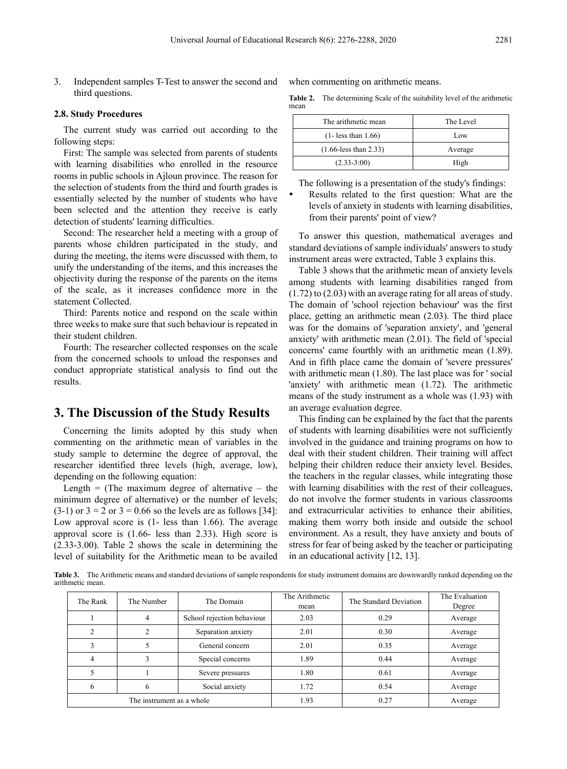3. Independent samples T-Test to answer the second and third questions.

#### **2.8. Study Procedures**

The current study was carried out according to the following steps:

First: The sample was selected from parents of students with learning disabilities who enrolled in the resource rooms in public schools in Ajloun province. The reason for the selection of students from the third and fourth grades is essentially selected by the number of students who have been selected and the attention they receive is early detection of students' learning difficulties.

Second: The researcher held a meeting with a group of parents whose children participated in the study, and during the meeting, the items were discussed with them, to unify the understanding of the items, and this increases the objectivity during the response of the parents on the items of the scale, as it increases confidence more in the statement Collected.

Third: Parents notice and respond on the scale within three weeks to make sure that such behaviour is repeated in their student children.

Fourth: The researcher collected responses on the scale from the concerned schools to unload the responses and conduct appropriate statistical analysis to find out the results.

## **3. The Discussion of the Study Results**

Concerning the limits adopted by this study when commenting on the arithmetic mean of variables in the study sample to determine the degree of approval, the researcher identified three levels (high, average, low), depending on the following equation:

Length  $=$  (The maximum degree of alternative  $-$  the minimum degree of alternative) or the number of levels;  $(3-1)$  or  $3 = 2$  or  $3 = 0.66$  so the levels are as follows [34]: Low approval score is (1- less than 1.66). The average approval score is (1.66- less than 2.33). High score is (2.33-3.00). Table 2 shows the scale in determining the level of suitability for the Arithmetic mean to be availed

when commenting on arithmetic means.

**Table 2.** The determining Scale of the suitability level of the arithmetic mean

| The arithmetic mean            | The Level |
|--------------------------------|-----------|
| $(1 - \text{less than } 1.66)$ | Low       |
| $(1.66$ -less than 2.33)       | Average   |
| $(2.33-3:00)$                  | High      |

The following is a presentation of the study's findings:

 Results related to the first question: What are the levels of anxiety in students with learning disabilities, from their parents' point of view?

To answer this question, mathematical averages and standard deviations of sample individuals' answers to study instrument areas were extracted, Table 3 explains this.

Table 3 shows that the arithmetic mean of anxiety levels among students with learning disabilities ranged from (1.72) to (2.03) with an average rating for all areas of study. The domain of 'school rejection behaviour' was the first place, getting an arithmetic mean (2.03). The third place was for the domains of 'separation anxiety', and 'general anxiety' with arithmetic mean (2.01). The field of 'special concerns' came fourthly with an arithmetic mean (1.89). And in fifth place came the domain of 'severe pressures' with arithmetic mean (1.80). The last place was for ' social 'anxiety' with arithmetic mean (1.72). The arithmetic means of the study instrument as a whole was (1.93) with an average evaluation degree.

This finding can be explained by the fact that the parents of students with learning disabilities were not sufficiently involved in the guidance and training programs on how to deal with their student children. Their training will affect helping their children reduce their anxiety level. Besides, the teachers in the regular classes, while integrating those with learning disabilities with the rest of their colleagues, do not involve the former students in various classrooms and extracurricular activities to enhance their abilities, making them worry both inside and outside the school environment. As a result, they have anxiety and bouts of stress for fear of being asked by the teacher or participating in an educational activity [12, 13].

**Table 3.** The Arithmetic means and standard deviations of sample respondents for study instrument domains are downwardly ranked depending on the arithmetic mean.

| The Rank       | The Number                | The Domain                 | The Arithmetic<br>mean | The Standard Deviation | The Evaluation<br>Degree |
|----------------|---------------------------|----------------------------|------------------------|------------------------|--------------------------|
|                |                           | School rejection behaviour | 2.03                   | 0.29                   | Average                  |
| $\mathfrak{D}$ |                           | Separation anxiety         | 2.01                   | 0.30                   | Average                  |
|                | General concern           |                            | 2.01                   | 0.35                   | Average                  |
| 4              |                           | Special concerns           | 1.89                   | 0.44                   | Average                  |
|                |                           | Severe pressures           | 1.80                   | 0.61                   | Average                  |
| 6              |                           | Social anxiety             | 1.72                   | 0.54                   | Average                  |
|                | The instrument as a whole |                            | 1.93                   | 0.27                   | Average                  |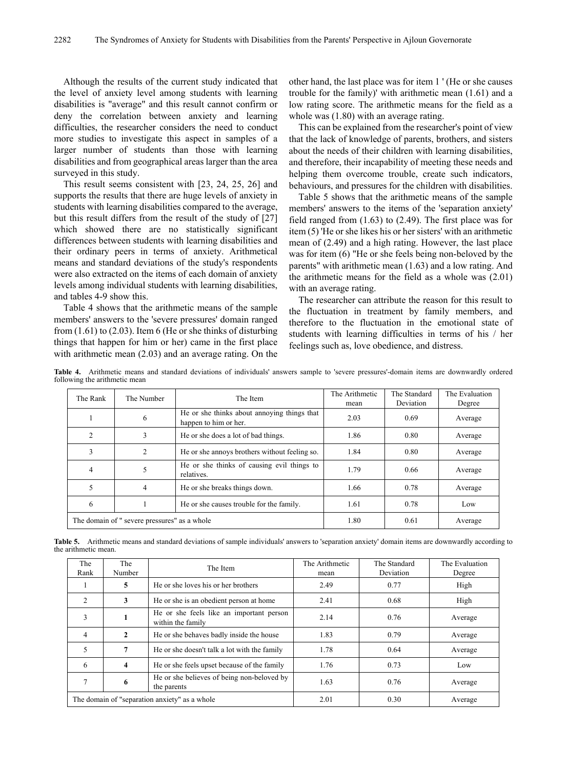Although the results of the current study indicated that the level of anxiety level among students with learning disabilities is "average" and this result cannot confirm or deny the correlation between anxiety and learning difficulties, the researcher considers the need to conduct more studies to investigate this aspect in samples of a larger number of students than those with learning disabilities and from geographical areas larger than the area surveyed in this study.

This result seems consistent with [23, 24, 25, 26] and supports the results that there are huge levels of anxiety in students with learning disabilities compared to the average, but this result differs from the result of the study of [27] which showed there are no statistically significant differences between students with learning disabilities and their ordinary peers in terms of anxiety. Arithmetical means and standard deviations of the study's respondents were also extracted on the items of each domain of anxiety levels among individual students with learning disabilities, and tables 4-9 show this.

Table 4 shows that the arithmetic means of the sample members' answers to the 'severe pressures' domain ranged from (1.61) to (2.03). Item 6 (He or she thinks of disturbing things that happen for him or her) came in the first place with arithmetic mean (2.03) and an average rating. On the

other hand, the last place was for item 1 ' (He or she causes trouble for the family)' with arithmetic mean (1.61) and a low rating score. The arithmetic means for the field as a whole was (1.80) with an average rating.

This can be explained from the researcher's point of view that the lack of knowledge of parents, brothers, and sisters about the needs of their children with learning disabilities, and therefore, their incapability of meeting these needs and helping them overcome trouble, create such indicators, behaviours, and pressures for the children with disabilities.

Table 5 shows that the arithmetic means of the sample members' answers to the items of the 'separation anxiety' field ranged from (1.63) to (2.49). The first place was for item (5) 'He or she likes his or her sisters' with an arithmetic mean of (2.49) and a high rating. However, the last place was for item (6) "He or she feels being non-beloved by the parents" with arithmetic mean (1.63) and a low rating. And the arithmetic means for the field as a whole was (2.01) with an average rating.

The researcher can attribute the reason for this result to the fluctuation in treatment by family members, and therefore to the fluctuation in the emotional state of students with learning difficulties in terms of his / her feelings such as, love obedience, and distress.

**Table 4.** Arithmetic means and standard deviations of individuals' answers sample to 'severe pressures'-domain items are downwardly ordered following the arithmetic mean

| The Rank                                     | The Number     | The Item                                                             | The Arithmetic<br>mean | The Standard<br>Deviation | The Evaluation<br>Degree |
|----------------------------------------------|----------------|----------------------------------------------------------------------|------------------------|---------------------------|--------------------------|
|                                              | 6              | He or she thinks about annoying things that<br>happen to him or her. | 2.03                   | 0.69                      | Average                  |
| $\mathfrak{D}$                               |                | He or she does a lot of bad things.                                  | 1.86                   | 0.80                      | Average                  |
| 3                                            | $\overline{c}$ | He or she annoys brothers without feeling so.                        | 1.84                   | 0.80                      | Average                  |
| 4                                            |                | He or she thinks of causing evil things to<br>relatives.             | 1.79                   | 0.66                      | Average                  |
|                                              | 4              | He or she breaks things down.                                        | 1.66                   | 0.78                      | Average                  |
| 6                                            |                | He or she causes trouble for the family.                             | 1.61                   | 0.78                      | Low                      |
| The domain of " severe pressures" as a whole |                |                                                                      | 1.80                   | 0.61                      | Average                  |

**Table 5.** Arithmetic means and standard deviations of sample individuals' answers to 'separation anxiety' domain items are downwardly according to the arithmetic mean.

| The<br>Rank                                   | The<br>Number | The Item                                                      | The Arithmetic<br>mean | The Standard<br>Deviation | The Evaluation<br>Degree |
|-----------------------------------------------|---------------|---------------------------------------------------------------|------------------------|---------------------------|--------------------------|
|                                               | 5             | He or she loves his or her brothers                           | 2.49                   | 0.77                      | High                     |
| $\mathfrak{D}$                                | 3             | He or she is an obedient person at home                       | 2.41                   | 0.68                      | High                     |
| 3                                             | 1             | He or she feels like an important person<br>within the family | 2.14                   | 0.76                      | Average                  |
| 4                                             | $\mathbf{2}$  | He or she behaves badly inside the house                      | 1.83                   | 0.79                      | Average                  |
| 5                                             | 7             | He or she doesn't talk a lot with the family                  | 1.78                   | 0.64                      | Average                  |
| 6                                             | 4             | He or she feels upset because of the family                   | 1.76                   | 0.73                      | Low                      |
|                                               | 6             | He or she believes of being non-beloved by<br>the parents     | 1.63                   | 0.76                      | Average                  |
| The domain of "separation anxiety" as a whole |               |                                                               | 2.01                   | 0.30                      | Average                  |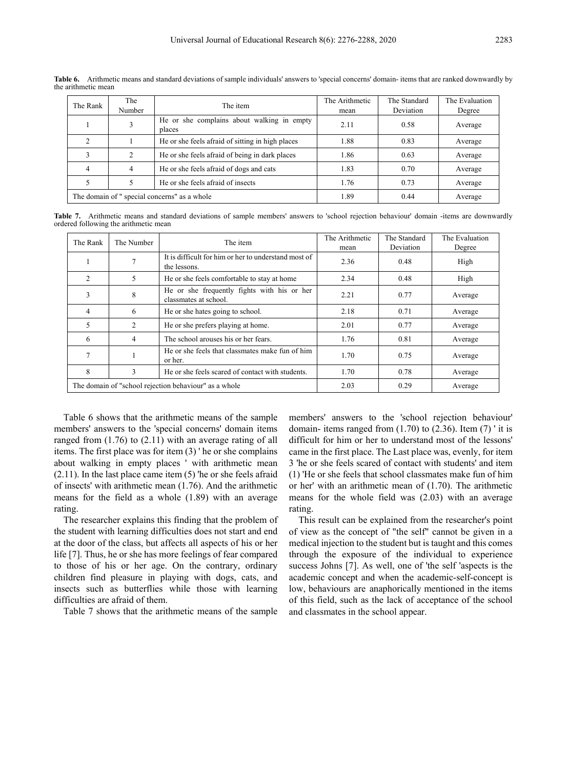| The Rank                                     | The<br>Number                                | The item                                             | The Arithmetic<br>mean | The Standard<br>Deviation | The Evaluation<br>Degree |
|----------------------------------------------|----------------------------------------------|------------------------------------------------------|------------------------|---------------------------|--------------------------|
|                                              |                                              | He or she complains about walking in empty<br>places | 2.11                   | 0.58                      | Average                  |
| C                                            |                                              | He or she feels afraid of sitting in high places     | 1.88                   | 0.83                      | Average                  |
| 3                                            | 2                                            | He or she feels afraid of being in dark places       | 1.86                   | 0.63                      | Average                  |
| $\overline{4}$                               | He or she feels afraid of dogs and cats<br>4 |                                                      | 1.83                   | 0.70                      | Average                  |
|                                              |                                              | He or she feels afraid of insects                    | 1.76                   | 0.73                      | Average                  |
| The domain of " special concerns" as a whole |                                              |                                                      | 1.89                   | 0.44                      | Average                  |

**Table 6.** Arithmetic means and standard deviations of sample individuals' answers to 'special concerns' domain- items that are ranked downwardly by the arithmetic mean

**Table 7.** Arithmetic means and standard deviations of sample members' answers to 'school rejection behaviour' domain -items are downwardly ordered following the arithmetic mean

| The Rank | The Number | The item                                                             | The Arithmetic<br>mean | The Standard<br>Deviation | The Evaluation<br>Degree |
|----------|------------|----------------------------------------------------------------------|------------------------|---------------------------|--------------------------|
|          |            | It is difficult for him or her to understand most of<br>the lessons. | 2.36                   | 0.48                      | High                     |
| 2        | 5          | He or she feels comfortable to stay at home                          | 2.34                   | 0.48                      | High                     |
| 3        | 8          | He or she frequently fights with his or her<br>classmates at school. | 2.21                   | 0.77                      | Average                  |
| 4        | 6          | He or she hates going to school.                                     | 2.18                   | 0.71                      | Average                  |
| 5        | 2          | He or she prefers playing at home.                                   | 2.01                   | 0.77                      | Average                  |
| 6        | 4          | The school arouses his or her fears.                                 | 1.76                   | 0.81                      | Average                  |
|          |            | He or she feels that classmates make fun of him<br>or her.           | 1.70                   | 0.75                      | Average                  |
| 8        | 3          | He or she feels scared of contact with students.                     | 1.70                   | 0.78                      | Average                  |
|          |            | The domain of "school rejection behaviour" as a whole                | 2.03                   | 0.29                      | Average                  |

Table 6 shows that the arithmetic means of the sample members' answers to the 'special concerns' domain items ranged from (1.76) to (2.11) with an average rating of all items. The first place was for item (3) ' he or she complains about walking in empty places ' with arithmetic mean (2.11). In the last place came item (5) 'he or she feels afraid of insects' with arithmetic mean (1.76). And the arithmetic means for the field as a whole (1.89) with an average rating.

The researcher explains this finding that the problem of the student with learning difficulties does not start and end at the door of the class, but affects all aspects of his or her life [7]. Thus, he or she has more feelings of fear compared to those of his or her age. On the contrary, ordinary children find pleasure in playing with dogs, cats, and insects such as butterflies while those with learning difficulties are afraid of them.

Table 7 shows that the arithmetic means of the sample

members' answers to the 'school rejection behaviour' domain- items ranged from  $(1.70)$  to  $(2.36)$ . Item  $(7)$  ' it is difficult for him or her to understand most of the lessons' came in the first place. The Last place was, evenly, for item 3 'he or she feels scared of contact with students' and item (1) 'He or she feels that school classmates make fun of him or her' with an arithmetic mean of (1.70). The arithmetic means for the whole field was (2.03) with an average rating.

This result can be explained from the researcher's point of view as the concept of "the self" cannot be given in a medical injection to the student but is taught and this comes through the exposure of the individual to experience success Johns [7]. As well, one of 'the self 'aspects is the academic concept and when the academic-self-concept is low, behaviours are anaphorically mentioned in the items of this field, such as the lack of acceptance of the school and classmates in the school appear.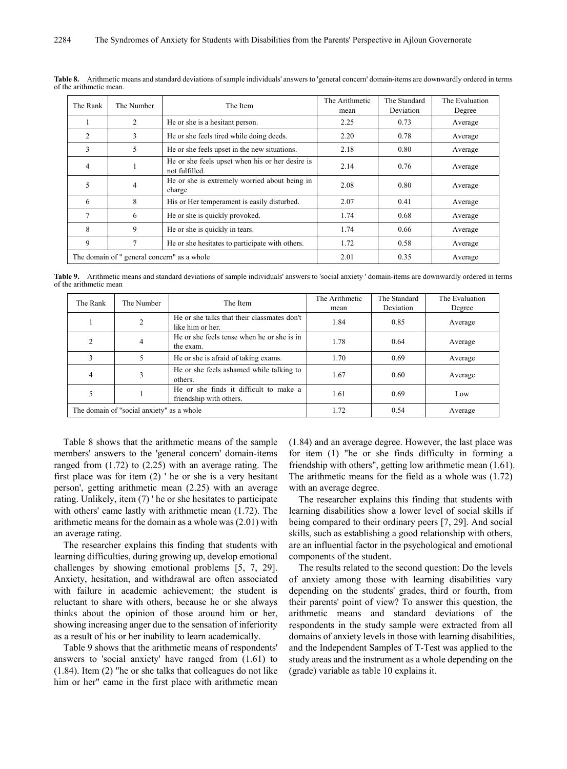| The Rank                                    | The Number | The Item                                                          | The Arithmetic<br>mean | The Standard<br>Deviation | The Evaluation<br>Degree |
|---------------------------------------------|------------|-------------------------------------------------------------------|------------------------|---------------------------|--------------------------|
|                                             | 2          | He or she is a hesitant person.                                   | 2.25                   | 0.73                      | Average                  |
| $\overline{c}$                              | 3          | He or she feels tired while doing deeds.                          | 2.20                   | 0.78                      | Average                  |
| 3                                           | 5          | He or she feels upset in the new situations.                      | 2.18                   | 0.80                      | Average                  |
| 4                                           |            | He or she feels upset when his or her desire is<br>not fulfilled. | 2.14                   | 0.76                      | Average                  |
| 5                                           | 4          | He or she is extremely worried about being in<br>charge           | 2.08                   | 0.80                      | Average                  |
| 6                                           | 8          | His or Her temperament is easily disturbed.                       | 2.07                   | 0.41                      | Average                  |
| 7                                           | 6          | He or she is quickly provoked.                                    | 1.74                   | 0.68                      | Average                  |
| 8                                           | 9          | He or she is quickly in tears.                                    | 1.74                   | 0.66                      | Average                  |
| 9                                           |            | He or she hesitates to participate with others.                   | 1.72                   | 0.58                      | Average                  |
| The domain of " general concern" as a whole |            | 2.01                                                              | 0.35                   | Average                   |                          |

**Table 8.** Arithmetic means and standard deviations of sample individuals' answers to 'general concern' domain-items are downwardly ordered in terms of the arithmetic mean.

**Table 9.** Arithmetic means and standard deviations of sample individuals' answers to 'social anxiety ' domain-items are downwardly ordered in terms of the arithmetic mean

| The Rank                                  | The Number | The Item                                                          | The Arithmetic | The Standard | The Evaluation |
|-------------------------------------------|------------|-------------------------------------------------------------------|----------------|--------------|----------------|
|                                           |            |                                                                   | mean           | Deviation    | Degree         |
|                                           | 2          | He or she talks that their classmates don't<br>like him or her.   | 1.84           | 0.85         | Average        |
| 2                                         | 4          | He or she feels tense when he or she is in<br>the exam.           | 1.78           | 0.64         | Average        |
|                                           |            | He or she is a fraid of taking exams.                             | 1.70           | 0.69         | Average        |
| 4                                         |            | He or she feels ashamed while talking to<br>others.               | 1.67           | 0.60         | Average        |
|                                           |            | He or she finds it difficult to make a<br>friendship with others. | 1.61           | 0.69         | Low            |
| The domain of "social anxiety" as a whole |            |                                                                   | 1.72           | 0.54         | Average        |

Table 8 shows that the arithmetic means of the sample members' answers to the 'general concern' domain-items ranged from (1.72) to (2.25) with an average rating. The first place was for item (2) ' he or she is a very hesitant person', getting arithmetic mean (2.25) with an average rating. Unlikely, item (7) ' he or she hesitates to participate with others' came lastly with arithmetic mean (1.72). The arithmetic means for the domain as a whole was (2.01) with an average rating.

The researcher explains this finding that students with learning difficulties, during growing up, develop emotional challenges by showing emotional problems [5, 7, 29]. Anxiety, hesitation, and withdrawal are often associated with failure in academic achievement; the student is reluctant to share with others, because he or she always thinks about the opinion of those around him or her, showing increasing anger due to the sensation of inferiority as a result of his or her inability to learn academically.

Table 9 shows that the arithmetic means of respondents' answers to 'social anxiety' have ranged from (1.61) to (1.84). Item (2) "he or she talks that colleagues do not like him or her" came in the first place with arithmetic mean

(1.84) and an average degree. However, the last place was for item (1) "he or she finds difficulty in forming a friendship with others", getting low arithmetic mean (1.61). The arithmetic means for the field as a whole was (1.72) with an average degree.

The researcher explains this finding that students with learning disabilities show a lower level of social skills if being compared to their ordinary peers [7, 29]. And social skills, such as establishing a good relationship with others, are an influential factor in the psychological and emotional components of the student.

The results related to the second question: Do the levels of anxiety among those with learning disabilities vary depending on the students' grades, third or fourth, from their parents' point of view? To answer this question, the arithmetic means and standard deviations of the respondents in the study sample were extracted from all domains of anxiety levels in those with learning disabilities, and the Independent Samples of T-Test was applied to the study areas and the instrument as a whole depending on the (grade) variable as table 10 explains it.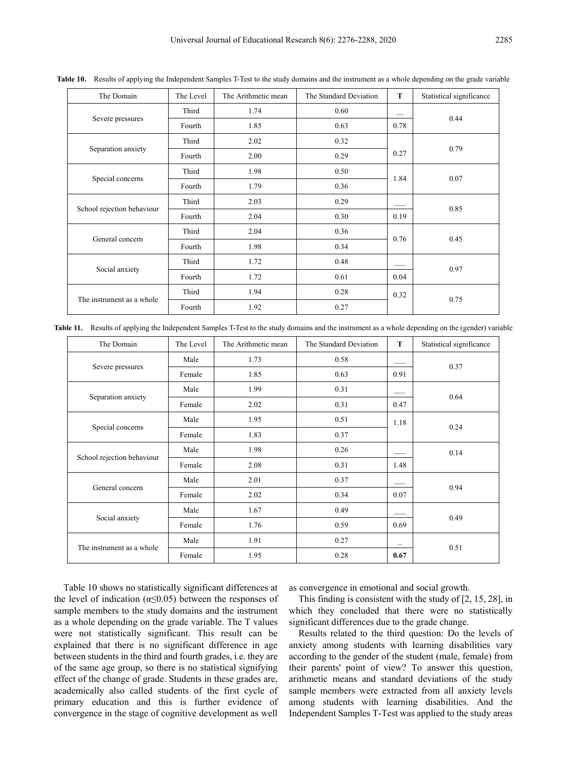| The Domain                 | The Level | The Arithmetic mean | The Standard Deviation | T    | Statistical significance |
|----------------------------|-----------|---------------------|------------------------|------|--------------------------|
|                            | Third     | 1.74                | 0.60                   |      | 0.44                     |
| Severe pressures           | Fourth    | 1.85                | 0.63                   | 0.78 |                          |
|                            | Third     | 2.02                | 0.32                   |      |                          |
| Separation anxiety         | Fourth    | 2.00                | 0.29                   | 0.27 | 0.79                     |
|                            | Third     | 1.98                | 0.50                   |      |                          |
| Special concerns           | Fourth    | 1.79                | 0.36                   | 1.84 | 0.07                     |
|                            | Third     | 2.03                | 0.29                   |      |                          |
| School rejection behaviour | Fourth    | 2.04                | 0.30                   | 0.19 | 0.85                     |
|                            | Third     | 2.04                | 0.36                   |      |                          |
| General concern            | Fourth    | 1.98                | 0.34                   | 0.76 | 0.45                     |
|                            | Third     | 1.72                | 0.48                   |      |                          |
| Social anxiety             | Fourth    | 1.72                | 0.61                   | 0.04 | 0.97                     |
| The instrument as a whole  | Third     | 1.94                | 0.28                   | 0.32 |                          |
|                            | Fourth    | 1.92                | 0.27                   |      | 0.75                     |

**Table 10.** Results of applying the Independent Samples T-Test to the study domains and the instrument as a whole depending on the grade variable

**Table 11.** Results of applying the Independent Samples T-Test to the study domains and the instrument as a whole depending on the (gender) variable

| The Domain                 | The Level | The Arithmetic mean | The Standard Deviation | T    | Statistical significance |
|----------------------------|-----------|---------------------|------------------------|------|--------------------------|
|                            | Male      | 1.73                | 0.58                   |      | 0.37                     |
| Severe pressures           | Female    | 1.85                | 0.63                   | 0.91 |                          |
|                            | Male      | 1.99                | 0.31                   |      |                          |
| Separation anxiety         | Female    | 2.02                | 0.31                   | 0.47 | 0.64                     |
|                            | Male      | 1.95                | 0.51                   | 1.18 |                          |
| Special concerns           | Female    | 1.83                | 0.37                   |      | 0.24                     |
|                            | Male      | 1.98                | 0.26                   |      | 0.14                     |
| School rejection behaviour | Female    | 2.08                | 0.31                   | 1.48 |                          |
|                            | Male      | 2.01                | 0.37                   |      |                          |
| General concern            | Female    | 2.02                | 0.34                   | 0.07 | 0.94                     |
|                            | Male      | 1.67                | 0.49                   |      |                          |
| Social anxiety             | Female    | 1.76                | 0.59                   | 0.69 | 0.49                     |
|                            | Male      | 1.91                | 0.27                   |      |                          |
| The instrument as a whole  | Female    | 1.95                | 0.28                   | 0.67 | 0.51                     |

Table 10 shows no statistically significant differences at the level of indication ( $\alpha \leq 0.05$ ) between the responses of sample members to the study domains and the instrument as a whole depending on the grade variable. The T values were not statistically significant. This result can be explained that there is no significant difference in age between students in the third and fourth grades, i.e. they are of the same age group, so there is no statistical signifying effect of the change of grade. Students in these grades are, academically also called students of the first cycle of primary education and this is further evidence of convergence in the stage of cognitive development as well

as convergence in emotional and social growth.

This finding is consistent with the study of [2, 15, 28], in which they concluded that there were no statistically significant differences due to the grade change.

Results related to the third question: Do the levels of anxiety among students with learning disabilities vary according to the gender of the student (male, female) from their parents' point of view? To answer this question, arithmetic means and standard deviations of the study sample members were extracted from all anxiety levels among students with learning disabilities. And the Independent Samples T-Test was applied to the study areas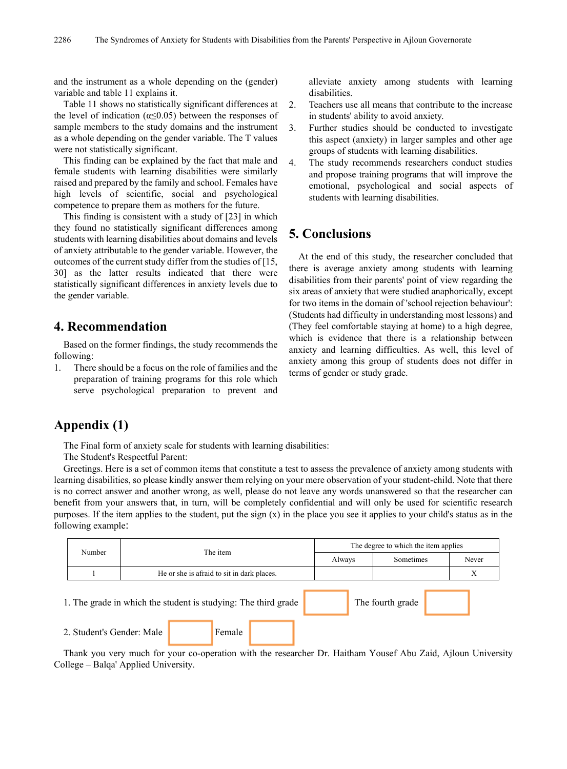and the instrument as a whole depending on the (gender) variable and table 11 explains it.

Table 11 shows no statistically significant differences at the level of indication ( $\alpha$ <0.05) between the responses of sample members to the study domains and the instrument as a whole depending on the gender variable. The T values were not statistically significant.

This finding can be explained by the fact that male and female students with learning disabilities were similarly raised and prepared by the family and school. Females have high levels of scientific, social and psychological competence to prepare them as mothers for the future.

This finding is consistent with a study of [23] in which they found no statistically significant differences among students with learning disabilities about domains and levels of anxiety attributable to the gender variable. However, the outcomes of the current study differ from the studies of [15, 30] as the latter results indicated that there were statistically significant differences in anxiety levels due to the gender variable.

# **4. Recommendation**

Based on the former findings, the study recommends the following:

1. There should be a focus on the role of families and the preparation of training programs for this role which serve psychological preparation to prevent and

alleviate anxiety among students with learning disabilities.

- 2. Teachers use all means that contribute to the increase in students' ability to avoid anxiety.
- 3. Further studies should be conducted to investigate this aspect (anxiety) in larger samples and other age groups of students with learning disabilities.
- 4. The study recommends researchers conduct studies and propose training programs that will improve the emotional, psychological and social aspects of students with learning disabilities.

# **5. Conclusions**

At the end of this study, the researcher concluded that there is average anxiety among students with learning disabilities from their parents' point of view regarding the six areas of anxiety that were studied anaphorically, except for two items in the domain of 'school rejection behaviour': (Students had difficulty in understanding most lessons) and (They feel comfortable staying at home) to a high degree, which is evidence that there is a relationship between anxiety and learning difficulties. As well, this level of anxiety among this group of students does not differ in terms of gender or study grade.

# **Appendix (1)**

The Final form of anxiety scale for students with learning disabilities:

The Student's Respectful Parent:

Greetings. Here is a set of common items that constitute a test to assess the prevalence of anxiety among students with learning disabilities, so please kindly answer them relying on your mere observation of your student-child. Note that there is no correct answer and another wrong, as well, please do not leave any words unanswered so that the researcher can benefit from your answers that, in turn, will be completely confidential and will only be used for scientific research purposes. If the item applies to the student, put the sign  $(x)$  in the place you see it applies to your child's status as in the following example:

|        |                           | The item                                                       | The degree to which the item applies |                  |       |  |
|--------|---------------------------|----------------------------------------------------------------|--------------------------------------|------------------|-------|--|
| Number |                           |                                                                | Always                               | Sometimes        | Never |  |
|        |                           | He or she is a fraid to sit in dark places.                    |                                      |                  | X     |  |
|        |                           | 1. The grade in which the student is studying: The third grade |                                      | The fourth grade |       |  |
|        | 2. Student's Gender: Male | Female                                                         |                                      |                  |       |  |

Thank you very much for your co-operation with the researcher Dr. Haitham Yousef Abu Zaid, Ajloun University College – Balqa' Applied University.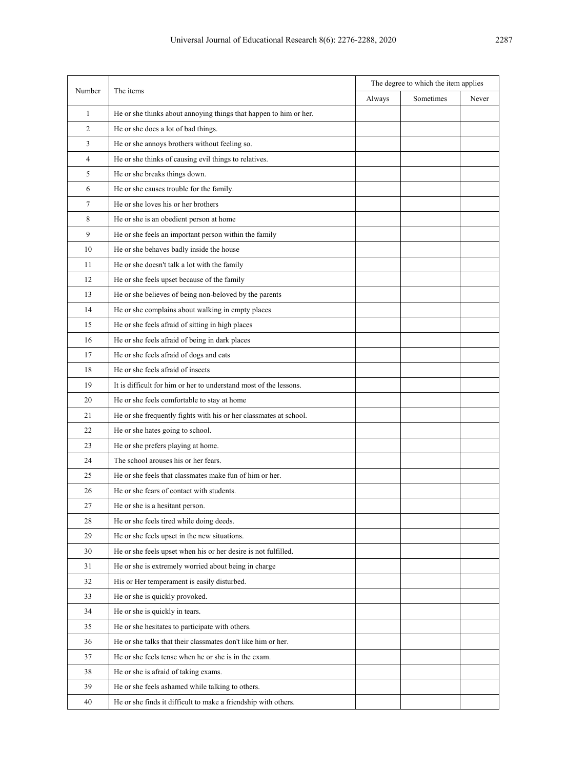| Number         | The items                                                         | The degree to which the item applies |           |       |
|----------------|-------------------------------------------------------------------|--------------------------------------|-----------|-------|
|                |                                                                   | Always                               | Sometimes | Never |
| $\mathbf{1}$   | He or she thinks about annoying things that happen to him or her. |                                      |           |       |
| 2              | He or she does a lot of bad things.                               |                                      |           |       |
| 3              | He or she annoys brothers without feeling so.                     |                                      |           |       |
| 4              | He or she thinks of causing evil things to relatives.             |                                      |           |       |
| 5              | He or she breaks things down.                                     |                                      |           |       |
| 6              | He or she causes trouble for the family.                          |                                      |           |       |
| $\overline{7}$ | He or she loves his or her brothers                               |                                      |           |       |
| 8              | He or she is an obedient person at home                           |                                      |           |       |
| 9              | He or she feels an important person within the family             |                                      |           |       |
| 10             | He or she behaves badly inside the house                          |                                      |           |       |
| 11             | He or she doesn't talk a lot with the family                      |                                      |           |       |
| 12             | He or she feels upset because of the family                       |                                      |           |       |
| 13             | He or she believes of being non-beloved by the parents            |                                      |           |       |
| 14             | He or she complains about walking in empty places                 |                                      |           |       |
| 15             | He or she feels afraid of sitting in high places                  |                                      |           |       |
| 16             | He or she feels afraid of being in dark places                    |                                      |           |       |
| 17             | He or she feels afraid of dogs and cats                           |                                      |           |       |
| 18             | He or she feels afraid of insects                                 |                                      |           |       |
| 19             | It is difficult for him or her to understand most of the lessons. |                                      |           |       |
| 20             | He or she feels comfortable to stay at home                       |                                      |           |       |
| 21             | He or she frequently fights with his or her classmates at school. |                                      |           |       |
| 22             | He or she hates going to school.                                  |                                      |           |       |
| 23             | He or she prefers playing at home.                                |                                      |           |       |
| 24             | The school arouses his or her fears.                              |                                      |           |       |
| 25             | He or she feels that classmates make fun of him or her.           |                                      |           |       |
| 26             | He or she fears of contact with students.                         |                                      |           |       |
| 27             | He or she is a hesitant person.                                   |                                      |           |       |
| 28             | He or she feels tired while doing deeds.                          |                                      |           |       |
| 29             | He or she feels upset in the new situations.                      |                                      |           |       |
| 30             | He or she feels upset when his or her desire is not fulfilled.    |                                      |           |       |
| 31             | He or she is extremely worried about being in charge              |                                      |           |       |
| 32             | His or Her temperament is easily disturbed.                       |                                      |           |       |
| 33             | He or she is quickly provoked.                                    |                                      |           |       |
| 34             | He or she is quickly in tears.                                    |                                      |           |       |
| 35             | He or she hesitates to participate with others.                   |                                      |           |       |
| 36             | He or she talks that their classmates don't like him or her.      |                                      |           |       |
| 37             | He or she feels tense when he or she is in the exam.              |                                      |           |       |
| 38             | He or she is afraid of taking exams.                              |                                      |           |       |
| 39             | He or she feels ashamed while talking to others.                  |                                      |           |       |
| 40             | He or she finds it difficult to make a friendship with others.    |                                      |           |       |